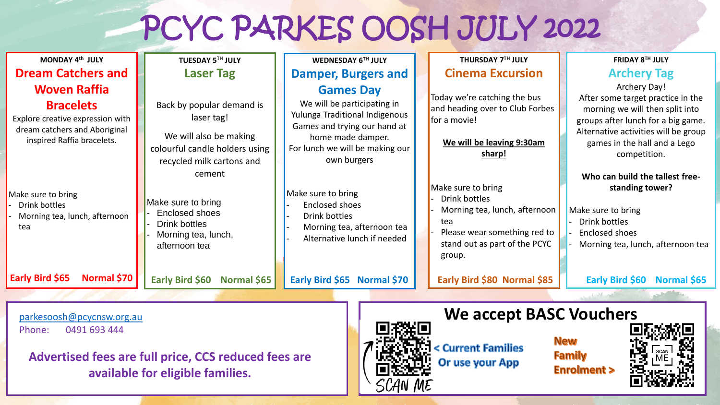## PCYC PARKES OOSH JULY 2022

| MONDAY 4th JULY                                                                                                                            | TUESDAY 5TH JULY                                                                                                                 | WEDNESDAY 6TH JULY                                                                                                                                                                       | THURSDAY 7TH JULY                                                                                                                                      | FRIDAY 8TH JULY                                                                                                                                                                                                    |
|--------------------------------------------------------------------------------------------------------------------------------------------|----------------------------------------------------------------------------------------------------------------------------------|------------------------------------------------------------------------------------------------------------------------------------------------------------------------------------------|--------------------------------------------------------------------------------------------------------------------------------------------------------|--------------------------------------------------------------------------------------------------------------------------------------------------------------------------------------------------------------------|
| <b>Dream Catchers and</b>                                                                                                                  | <b>Laser Tag</b>                                                                                                                 | <b>Damper, Burgers and</b>                                                                                                                                                               | <b>Cinema Excursion</b>                                                                                                                                | <b>Archery Tag</b>                                                                                                                                                                                                 |
| <b>Woven Raffia</b><br><b>Bracelets</b><br>Explore creative expression with<br>dream catchers and Aboriginal<br>inspired Raffia bracelets. | Back by popular demand is<br>laser tag!<br>We will also be making<br>colourful candle holders using<br>recycled milk cartons and | <b>Games Day</b><br>We will be participating in<br>Yulunga Traditional Indigenous<br>Games and trying our hand at<br>home made damper.<br>For lunch we will be making our<br>own burgers | Today we're catching the bus<br>and heading over to Club Forbes<br>for a movie!<br>We will be leaving 9:30am<br>sharp!                                 | Archery Day!<br>After some target practice in the<br>morning we will then split into<br>groups after lunch for a big game.<br>Alternative activities will be group<br>games in the hall and a Lego<br>competition. |
| Make sure to bring<br>Drink bottles<br>Morning tea, lunch, afternoon<br>tea                                                                | cement<br>Make sure to bring<br>Enclosed shoes<br>Drink bottles<br>Morning tea, lunch,<br>afternoon tea                          | Make sure to bring<br><b>Enclosed shoes</b><br>Drink bottles<br>Morning tea, afternoon tea<br>Alternative lunch if needed                                                                | Make sure to bring<br>Drink bottles<br>Morning tea, lunch, afternoon<br>tea<br>Please wear something red to<br>stand out as part of the PCYC<br>group. | Who can build the tallest free-<br>standing tower?<br>Make sure to bring<br>Drink bottles<br><b>Enclosed shoes</b><br>Morning tea, lunch, afternoon tea                                                            |
| Early Bird \$65<br>Normal \$70                                                                                                             | Early Bird \$60<br>Normal \$65                                                                                                   | Early Bird \$65 Normal \$70                                                                                                                                                              | Early Bird \$80 Normal \$85                                                                                                                            | Early Bird \$60<br>Normal \$65                                                                                                                                                                                     |
|                                                                                                                                            |                                                                                                                                  |                                                                                                                                                                                          |                                                                                                                                                        |                                                                                                                                                                                                                    |
| <b>We accept BASC Vouchers</b><br>parkesoosh@pcycnsw.org.au                                                                                |                                                                                                                                  |                                                                                                                                                                                          |                                                                                                                                                        |                                                                                                                                                                                                                    |

Phone: 0491 693 444

**Advertised fees are full price, CCS reduced fees are available for eligible families.** 



**New Current Families Family Or use your App Enrolment >**